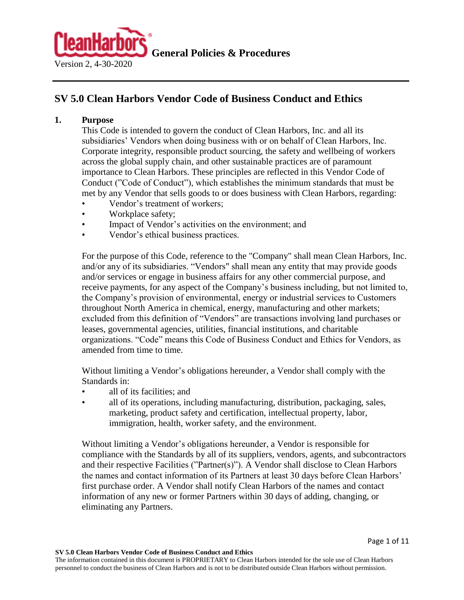

# **SV 5.0 Clean Harbors Vendor Code of Business Conduct and Ethics**

### **1. Purpose**

This Code is intended to govern the conduct of Clean Harbors, Inc. and all its subsidiaries' Vendors when doing business with or on behalf of Clean Harbors, Inc. Corporate integrity, responsible product sourcing, the safety and wellbeing of workers across the global supply chain, and other sustainable practices are of paramount importance to Clean Harbors. These principles are reflected in this Vendor Code of Conduct ("Code of Conduct"), which establishes the minimum standards that must be met by any Vendor that sells goods to or does business with Clean Harbors, regarding:

- Vendor's treatment of workers;
- Workplace safety;
- Impact of Vendor's activities on the environment; and
- Vendor's ethical business practices.

For the purpose of this Code, reference to the "Company" shall mean Clean Harbors, Inc. and/or any of its subsidiaries. "Vendors" shall mean any entity that may provide goods and/or services or engage in business affairs for any other commercial purpose, and receive payments, for any aspect of the Company's business including, but not limited to, the Company's provision of environmental, energy or industrial services to Customers throughout North America in chemical, energy, manufacturing and other markets; excluded from this definition of "Vendors" are transactions involving land purchases or leases, governmental agencies, utilities, financial institutions, and charitable organizations. "Code" means this Code of Business Conduct and Ethics for Vendors, as amended from time to time.

Without limiting a Vendor's obligations hereunder, a Vendor shall comply with the Standards in:

- all of its facilities; and
- all of its operations, including manufacturing, distribution, packaging, sales, marketing, product safety and certification, intellectual property, labor, immigration, health, worker safety, and the environment.

Without limiting a Vendor's obligations hereunder, a Vendor is responsible for compliance with the Standards by all of its suppliers, vendors, agents, and subcontractors and their respective Facilities ("Partner(s)"). A Vendor shall disclose to Clean Harbors the names and contact information of its Partners at least 30 days before Clean Harbors' first purchase order. A Vendor shall notify Clean Harbors of the names and contact information of any new or former Partners within 30 days of adding, changing, or eliminating any Partners.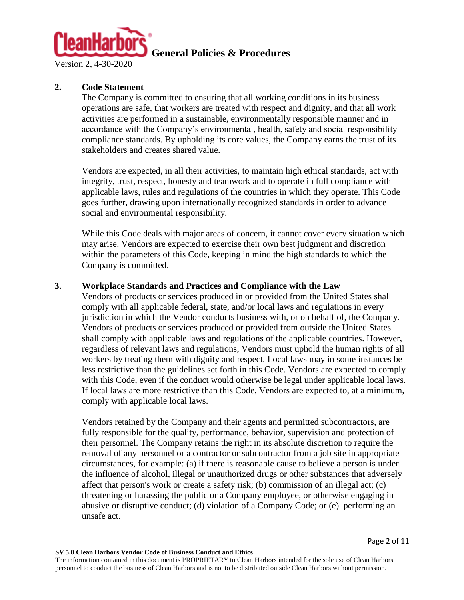

Version 2, 4-30-2020

# **2. Code Statement**

The Company is committed to ensuring that all working conditions in its business operations are safe, that workers are treated with respect and dignity, and that all work activities are performed in a sustainable, environmentally responsible manner and in accordance with the Company's environmental, health, safety and social responsibility compliance standards. By upholding its core values, the Company earns the trust of its stakeholders and creates shared value.

Vendors are expected, in all their activities, to maintain high ethical standards, act with integrity, trust, respect, honesty and teamwork and to operate in full compliance with applicable laws, rules and regulations of the countries in which they operate. This Code goes further, drawing upon internationally recognized standards in order to advance social and environmental responsibility.

While this Code deals with major areas of concern, it cannot cover every situation which may arise. Vendors are expected to exercise their own best judgment and discretion within the parameters of this Code, keeping in mind the high standards to which the Company is committed.

### **3. Workplace Standards and Practices and Compliance with the Law**

Vendors of products or services produced in or provided from the United States shall comply with all applicable federal, state, and/or local laws and regulations in every jurisdiction in which the Vendor conducts business with, or on behalf of, the Company. Vendors of products or services produced or provided from outside the United States shall comply with applicable laws and regulations of the applicable countries. However, regardless of relevant laws and regulations, Vendors must uphold the human rights of all workers by treating them with dignity and respect. Local laws may in some instances be less restrictive than the guidelines set forth in this Code. Vendors are expected to comply with this Code, even if the conduct would otherwise be legal under applicable local laws. If local laws are more restrictive than this Code, Vendors are expected to, at a minimum, comply with applicable local laws.

Vendors retained by the Company and their agents and permitted subcontractors, are fully responsible for the quality, performance, behavior, supervision and protection of their personnel. The Company retains the right in its absolute discretion to require the removal of any personnel or a contractor or subcontractor from a job site in appropriate circumstances, for example: (a) if there is reasonable cause to believe a person is under the influence of alcohol, illegal or unauthorized drugs or other substances that adversely affect that person's work or create a safety risk; (b) commission of an illegal act; (c) threatening or harassing the public or a Company employee, or otherwise engaging in abusive or disruptive conduct; (d) violation of a Company Code; or (e) performing an unsafe act.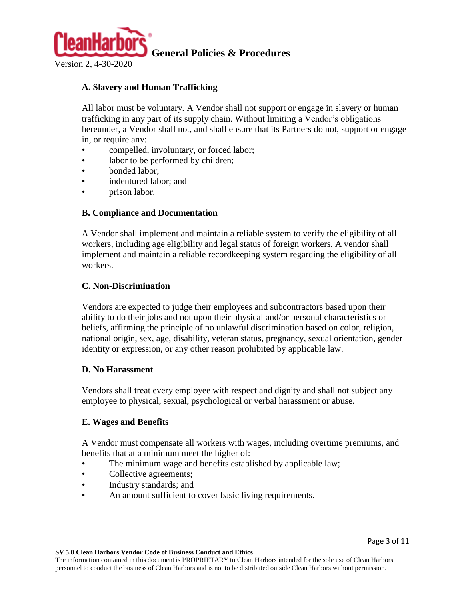

# **A. Slavery and Human Trafficking**

All labor must be voluntary. A Vendor shall not support or engage in slavery or human trafficking in any part of its supply chain. Without limiting a Vendor's obligations hereunder, a Vendor shall not, and shall ensure that its Partners do not, support or engage in, or require any:

- compelled, involuntary, or forced labor;
- labor to be performed by children;
- bonded labor;
- indentured labor; and
- prison labor.

# **B. Compliance and Documentation**

A Vendor shall implement and maintain a reliable system to verify the eligibility of all workers, including age eligibility and legal status of foreign workers. A vendor shall implement and maintain a reliable recordkeeping system regarding the eligibility of all workers.

# **C. Non-Discrimination**

Vendors are expected to judge their employees and subcontractors based upon their ability to do their jobs and not upon their physical and/or personal characteristics or beliefs, affirming the principle of no unlawful discrimination based on color, religion, national origin, sex, age, disability, veteran status, pregnancy, sexual orientation, gender identity or expression, or any other reason prohibited by applicable law.

# **D. No Harassment**

Vendors shall treat every employee with respect and dignity and shall not subject any employee to physical, sexual, psychological or verbal harassment or abuse.

# **E. Wages and Benefits**

A Vendor must compensate all workers with wages, including overtime premiums, and benefits that at a minimum meet the higher of:

- The minimum wage and benefits established by applicable law;
- Collective agreements;
- Industry standards; and
- An amount sufficient to cover basic living requirements.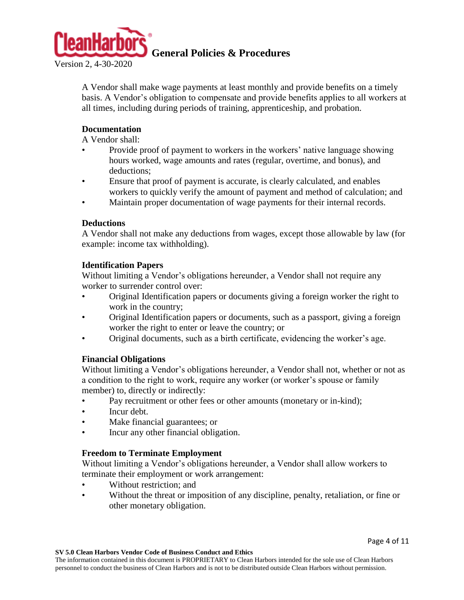

A Vendor shall make wage payments at least monthly and provide benefits on a timely basis. A Vendor's obligation to compensate and provide benefits applies to all workers at all times, including during periods of training, apprenticeship, and probation.

# **Documentation**

A Vendor shall:

- Provide proof of payment to workers in the workers' native language showing hours worked, wage amounts and rates (regular, overtime, and bonus), and deductions;
- Ensure that proof of payment is accurate, is clearly calculated, and enables workers to quickly verify the amount of payment and method of calculation; and
- Maintain proper documentation of wage payments for their internal records.

# **Deductions**

A Vendor shall not make any deductions from wages, except those allowable by law (for example: income tax withholding).

### **Identification Papers**

Without limiting a Vendor's obligations hereunder, a Vendor shall not require any worker to surrender control over:

- Original Identification papers or documents giving a foreign worker the right to work in the country;
- Original Identification papers or documents, such as a passport, giving a foreign worker the right to enter or leave the country; or
- Original documents, such as a birth certificate, evidencing the worker's age.

# **Financial Obligations**

Without limiting a Vendor's obligations hereunder, a Vendor shall not, whether or not as a condition to the right to work, require any worker (or worker's spouse or family member) to, directly or indirectly:

- Pay recruitment or other fees or other amounts (monetary or in-kind);
- Incur debt.
- Make financial guarantees; or
- Incur any other financial obligation.

# **Freedom to Terminate Employment**

Without limiting a Vendor's obligations hereunder, a Vendor shall allow workers to terminate their employment or work arrangement:

- Without restriction; and
- Without the threat or imposition of any discipline, penalty, retaliation, or fine or other monetary obligation.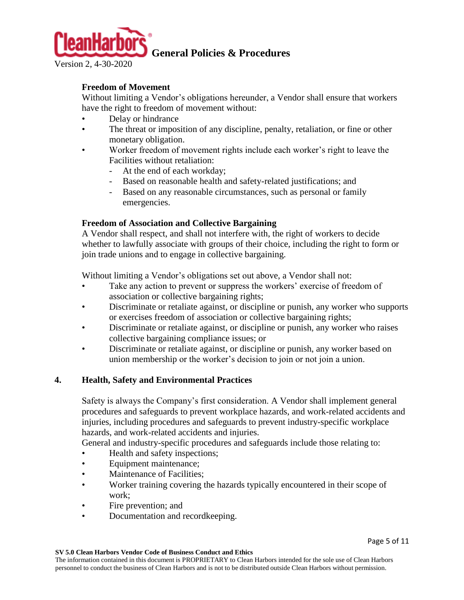

Version 2, 4-30-2020

# **Freedom of Movement**

Without limiting a Vendor's obligations hereunder, a Vendor shall ensure that workers have the right to freedom of movement without:

- Delay or hindrance
- The threat or imposition of any discipline, penalty, retaliation, or fine or other monetary obligation.
- Worker freedom of movement rights include each worker's right to leave the Facilities without retaliation:
	- At the end of each workday;
	- Based on reasonable health and safety-related justifications; and
	- Based on any reasonable circumstances, such as personal or family emergencies.

### **Freedom of Association and Collective Bargaining**

A Vendor shall respect, and shall not interfere with, the right of workers to decide whether to lawfully associate with groups of their choice, including the right to form or join trade unions and to engage in collective bargaining.

Without limiting a Vendor's obligations set out above, a Vendor shall not:

- Take any action to prevent or suppress the workers' exercise of freedom of association or collective bargaining rights;
- Discriminate or retaliate against, or discipline or punish, any worker who supports or exercises freedom of association or collective bargaining rights;
- Discriminate or retaliate against, or discipline or punish, any worker who raises collective bargaining compliance issues; or
- Discriminate or retaliate against, or discipline or punish, any worker based on union membership or the worker's decision to join or not join a union.

# **4. Health, Safety and Environmental Practices**

Safety is always the Company's first consideration. A Vendor shall implement general procedures and safeguards to prevent workplace hazards, and work-related accidents and injuries, including procedures and safeguards to prevent industry-specific workplace hazards, and work-related accidents and injuries.

General and industry-specific procedures and safeguards include those relating to:

- Health and safety inspections;
- Equipment maintenance;
- Maintenance of Facilities;
- Worker training covering the hazards typically encountered in their scope of work;
- Fire prevention; and
- Documentation and record keeping.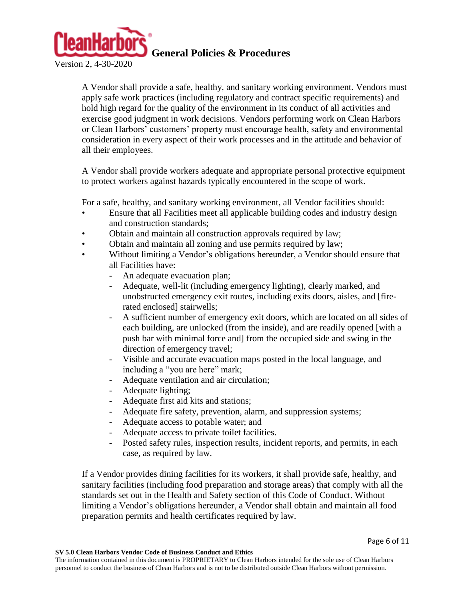

Version 2, 4-30-2020

A Vendor shall provide a safe, healthy, and sanitary working environment. Vendors must apply safe work practices (including regulatory and contract specific requirements) and hold high regard for the quality of the environment in its conduct of all activities and exercise good judgment in work decisions. Vendors performing work on Clean Harbors or Clean Harbors' customers' property must encourage health, safety and environmental consideration in every aspect of their work processes and in the attitude and behavior of all their employees.

A Vendor shall provide workers adequate and appropriate personal protective equipment to protect workers against hazards typically encountered in the scope of work.

For a safe, healthy, and sanitary working environment, all Vendor facilities should:

- Ensure that all Facilities meet all applicable building codes and industry design and construction standards;
- Obtain and maintain all construction approvals required by law;
- Obtain and maintain all zoning and use permits required by law;
- Without limiting a Vendor's obligations hereunder, a Vendor should ensure that all Facilities have:
	- An adequate evacuation plan;
	- Adequate, well-lit (including emergency lighting), clearly marked, and unobstructed emergency exit routes, including exits doors, aisles, and [firerated enclosed] stairwells;
	- A sufficient number of emergency exit doors, which are located on all sides of each building, are unlocked (from the inside), and are readily opened [with a push bar with minimal force and] from the occupied side and swing in the direction of emergency travel;
	- Visible and accurate evacuation maps posted in the local language, and including a "you are here" mark;
	- Adequate ventilation and air circulation;
	- Adequate lighting;
	- Adequate first aid kits and stations;
	- Adequate fire safety, prevention, alarm, and suppression systems;
	- Adequate access to potable water; and
	- Adequate access to private toilet facilities.
	- Posted safety rules, inspection results, incident reports, and permits, in each case, as required by law.

If a Vendor provides dining facilities for its workers, it shall provide safe, healthy, and sanitary facilities (including food preparation and storage areas) that comply with all the standards set out in the Health and Safety section of this Code of Conduct. Without limiting a Vendor's obligations hereunder, a Vendor shall obtain and maintain all food preparation permits and health certificates required by law.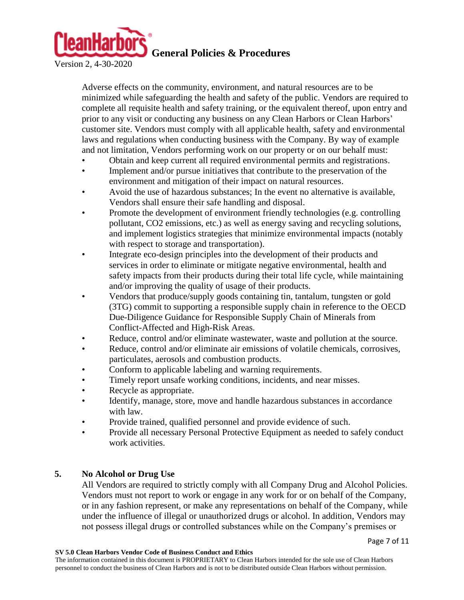

Version 2, 4-30-2020

Adverse effects on the community, environment, and natural resources are to be minimized while safeguarding the health and safety of the public. Vendors are required to complete all requisite health and safety training, or the equivalent thereof, upon entry and prior to any visit or conducting any business on any Clean Harbors or Clean Harbors' customer site. Vendors must comply with all applicable health, safety and environmental laws and regulations when conducting business with the Company. By way of example and not limitation, Vendors performing work on our property or on our behalf must:

- Obtain and keep current all required environmental permits and registrations.
- Implement and/or pursue initiatives that contribute to the preservation of the environment and mitigation of their impact on natural resources.
- Avoid the use of hazardous substances; In the event no alternative is available, Vendors shall ensure their safe handling and disposal.
- Promote the development of environment friendly technologies (e.g. controlling pollutant, CO2 emissions, etc.) as well as energy saving and recycling solutions, and implement logistics strategies that minimize environmental impacts (notably with respect to storage and transportation).
- Integrate eco-design principles into the development of their products and services in order to eliminate or mitigate negative environmental, health and safety impacts from their products during their total life cycle, while maintaining and/or improving the quality of usage of their products.
- Vendors that produce/supply goods containing tin, tantalum, tungsten or gold (3TG) commit to supporting a responsible supply chain in reference to the OECD Due-Diligence Guidance for Responsible Supply Chain of Minerals from Conflict-Affected and High-Risk Areas.
- Reduce, control and/or eliminate wastewater, waste and pollution at the source.
- Reduce, control and/or eliminate air emissions of volatile chemicals, corrosives, particulates, aerosols and combustion products.
- Conform to applicable labeling and warning requirements.
- Timely report unsafe working conditions, incidents, and near misses.
- Recycle as appropriate.
- Identify, manage, store, move and handle hazardous substances in accordance with law.
- Provide trained, qualified personnel and provide evidence of such.
- Provide all necessary Personal Protective Equipment as needed to safely conduct work activities.

# **5. No Alcohol or Drug Use**

All Vendors are required to strictly comply with all Company Drug and Alcohol Policies. Vendors must not report to work or engage in any work for or on behalf of the Company, or in any fashion represent, or make any representations on behalf of the Company, while under the influence of illegal or unauthorized drugs or alcohol. In addition, Vendors may not possess illegal drugs or controlled substances while on the Company's premises or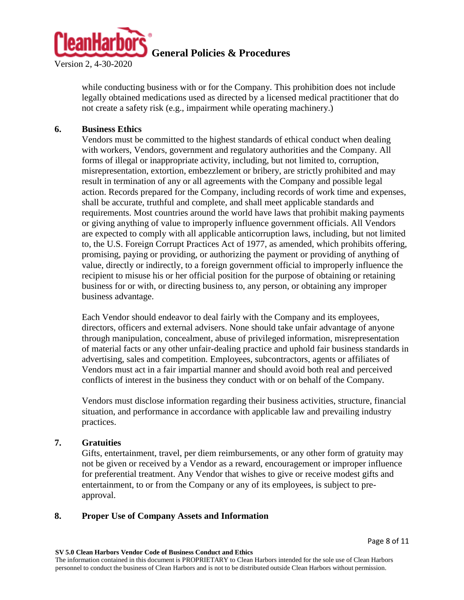

while conducting business with or for the Company. This prohibition does not include legally obtained medications used as directed by a licensed medical practitioner that do not create a safety risk (e.g., impairment while operating machinery.)

### **6. Business Ethics**

Vendors must be committed to the highest standards of ethical conduct when dealing with workers, Vendors, government and regulatory authorities and the Company. All forms of illegal or inappropriate activity, including, but not limited to, corruption, misrepresentation, extortion, embezzlement or bribery, are strictly prohibited and may result in termination of any or all agreements with the Company and possible legal action. Records prepared for the Company, including records of work time and expenses, shall be accurate, truthful and complete, and shall meet applicable standards and requirements. Most countries around the world have laws that prohibit making payments or giving anything of value to improperly influence government officials. All Vendors are expected to comply with all applicable anticorruption laws, including, but not limited to, the U.S. Foreign Corrupt Practices Act of 1977, as amended, which prohibits offering, promising, paying or providing, or authorizing the payment or providing of anything of value, directly or indirectly, to a foreign government official to improperly influence the recipient to misuse his or her official position for the purpose of obtaining or retaining business for or with, or directing business to, any person, or obtaining any improper business advantage.

Each Vendor should endeavor to deal fairly with the Company and its employees, directors, officers and external advisers. None should take unfair advantage of anyone through manipulation, concealment, abuse of privileged information, misrepresentation of material facts or any other unfair-dealing practice and uphold fair business standards in advertising, sales and competition. Employees, subcontractors, agents or affiliates of Vendors must act in a fair impartial manner and should avoid both real and perceived conflicts of interest in the business they conduct with or on behalf of the Company.

Vendors must disclose information regarding their business activities, structure, financial situation, and performance in accordance with applicable law and prevailing industry practices.

### **7. Gratuities**

Gifts, entertainment, travel, per diem reimbursements, or any other form of gratuity may not be given or received by a Vendor as a reward, encouragement or improper influence for preferential treatment. Any Vendor that wishes to give or receive modest gifts and entertainment, to or from the Company or any of its employees, is subject to preapproval.

### **8. Proper Use of Company Assets and Information**

**SV 5.0 Clean Harbors Vendor Code of Business Conduct and Ethics**

The information contained in this document is PROPRIETARY to Clean Harbors intended for the sole use of Clean Harbors personnel to conduct the business of Clean Harbors and is not to be distributed outside Clean Harbors without permission.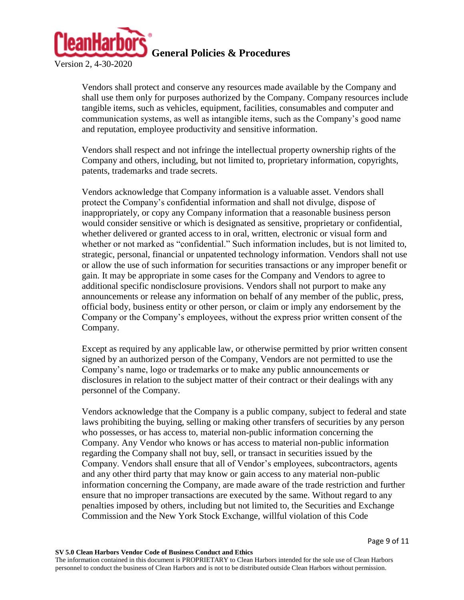

Vendors shall protect and conserve any resources made available by the Company and shall use them only for purposes authorized by the Company. Company resources include tangible items, such as vehicles, equipment, facilities, consumables and computer and communication systems, as well as intangible items, such as the Company's good name and reputation, employee productivity and sensitive information.

Vendors shall respect and not infringe the intellectual property ownership rights of the Company and others, including, but not limited to, proprietary information, copyrights, patents, trademarks and trade secrets.

Vendors acknowledge that Company information is a valuable asset. Vendors shall protect the Company's confidential information and shall not divulge, dispose of inappropriately, or copy any Company information that a reasonable business person would consider sensitive or which is designated as sensitive, proprietary or confidential, whether delivered or granted access to in oral, written, electronic or visual form and whether or not marked as "confidential." Such information includes, but is not limited to, strategic, personal, financial or unpatented technology information. Vendors shall not use or allow the use of such information for securities transactions or any improper benefit or gain. It may be appropriate in some cases for the Company and Vendors to agree to additional specific nondisclosure provisions. Vendors shall not purport to make any announcements or release any information on behalf of any member of the public, press, official body, business entity or other person, or claim or imply any endorsement by the Company or the Company's employees, without the express prior written consent of the Company.

Except as required by any applicable law, or otherwise permitted by prior written consent signed by an authorized person of the Company, Vendors are not permitted to use the Company's name, logo or trademarks or to make any public announcements or disclosures in relation to the subject matter of their contract or their dealings with any personnel of the Company.

Vendors acknowledge that the Company is a public company, subject to federal and state laws prohibiting the buying, selling or making other transfers of securities by any person who possesses, or has access to, material non-public information concerning the Company. Any Vendor who knows or has access to material non-public information regarding the Company shall not buy, sell, or transact in securities issued by the Company. Vendors shall ensure that all of Vendor's employees, subcontractors, agents and any other third party that may know or gain access to any material non-public information concerning the Company, are made aware of the trade restriction and further ensure that no improper transactions are executed by the same. Without regard to any penalties imposed by others, including but not limited to, the Securities and Exchange Commission and the New York Stock Exchange, willful violation of this Code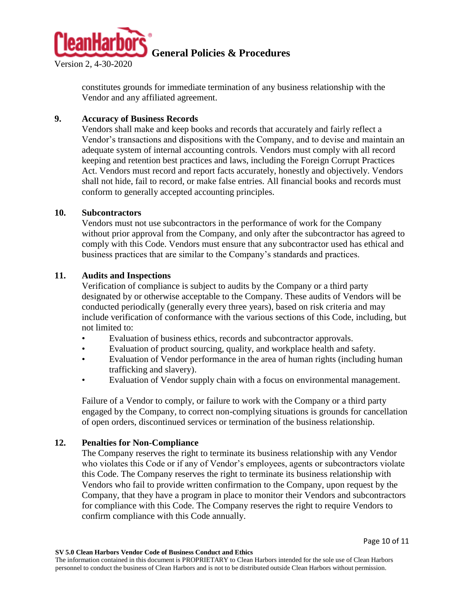

constitutes grounds for immediate termination of any business relationship with the Vendor and any affiliated agreement.

### **9. Accuracy of Business Records**

Vendors shall make and keep books and records that accurately and fairly reflect a Vendor's transactions and dispositions with the Company, and to devise and maintain an adequate system of internal accounting controls. Vendors must comply with all record keeping and retention best practices and laws, including the Foreign Corrupt Practices Act. Vendors must record and report facts accurately, honestly and objectively. Vendors shall not hide, fail to record, or make false entries. All financial books and records must conform to generally accepted accounting principles.

#### **10. Subcontractors**

Vendors must not use subcontractors in the performance of work for the Company without prior approval from the Company, and only after the subcontractor has agreed to comply with this Code. Vendors must ensure that any subcontractor used has ethical and business practices that are similar to the Company's standards and practices.

#### **11. Audits and Inspections**

Verification of compliance is subject to audits by the Company or a third party designated by or otherwise acceptable to the Company. These audits of Vendors will be conducted periodically (generally every three years), based on risk criteria and may include verification of conformance with the various sections of this Code, including, but not limited to:

- Evaluation of business ethics, records and subcontractor approvals.
- Evaluation of product sourcing, quality, and workplace health and safety.
- Evaluation of Vendor performance in the area of human rights (including human trafficking and slavery).
- Evaluation of Vendor supply chain with a focus on environmental management.

Failure of a Vendor to comply, or failure to work with the Company or a third party engaged by the Company, to correct non-complying situations is grounds for cancellation of open orders, discontinued services or termination of the business relationship.

### **12. Penalties for Non-Compliance**

The Company reserves the right to terminate its business relationship with any Vendor who violates this Code or if any of Vendor's employees, agents or subcontractors violate this Code. The Company reserves the right to terminate its business relationship with Vendors who fail to provide written confirmation to the Company, upon request by the Company, that they have a program in place to monitor their Vendors and subcontractors for compliance with this Code. The Company reserves the right to require Vendors to confirm compliance with this Code annually.

The information contained in this document is PROPRIETARY to Clean Harbors intended for the sole use of Clean Harbors personnel to conduct the business of Clean Harbors and is not to be distributed outside Clean Harbors without permission.